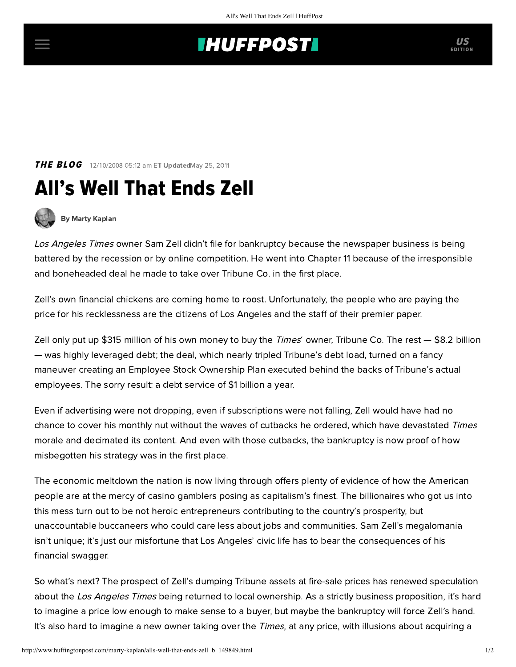## **INUFFPOST**

**THE BLOG** 12/10/2008 05:12 am ETI UpdatedMay 25, 2011

## All's Well That Ends Zell



[By Marty Kaplan](http://www.huffingtonpost.com/author/marty-kaplan)

Los Angeles Times owner Sam Zell didn't file for bankruptcy because the newspaper business is being battered by the recession or by online competition. He went into Chapter 11 because of the irresponsible and boneheaded deal he made to take over Tribune Co. in the first place.

Zell's own financial chickens are coming home to roost. Unfortunately, the people who are paying the price for his recklessness are the citizens of Los Angeles and the staff of their premier paper.

Zell only put up \$315 million of his own money to buy the *Times'* owner, Tribune Co. The rest — \$8.2 billion — was highly leveraged debt; the deal, which nearly tripled Tribune's debt load, turned on a fancy maneuver creating an Employee Stock Ownership Plan executed behind the backs of Tribune's actual employees. The sorry result: a debt service of \$1 billion a year.

Even if advertising were not dropping, even if subscriptions were not falling, Zell would have had no chance to cover his monthly nut without the waves of cutbacks he ordered, which have devastated Times morale and decimated its content. And even with those cutbacks, the bankruptcy is now proof of how misbegotten his strategy was in the first place.

The economic meltdown the nation is now living through offers plenty of evidence of how the American people are at the mercy of casino gamblers posing as capitalism's finest. The billionaires who got us into this mess turn out to be not heroic entrepreneurs contributing to the country's prosperity, but unaccountable buccaneers who could care less about jobs and communities. Sam Zell's megalomania isn't unique; it's just our misfortune that Los Angeles' civic life has to bear the consequences of his financial swagger.

So what's next? The prospect of Zell's dumping Tribune assets at fire-sale prices has renewed speculation about the Los Angeles Times being returned to local ownership. As a strictly business proposition, it's hard to imagine a price low enough to make sense to a buyer, but maybe the bankruptcy will force Zell's hand. It's also hard to imagine a new owner taking over the *Times*, at any price, with illusions about acquiring a